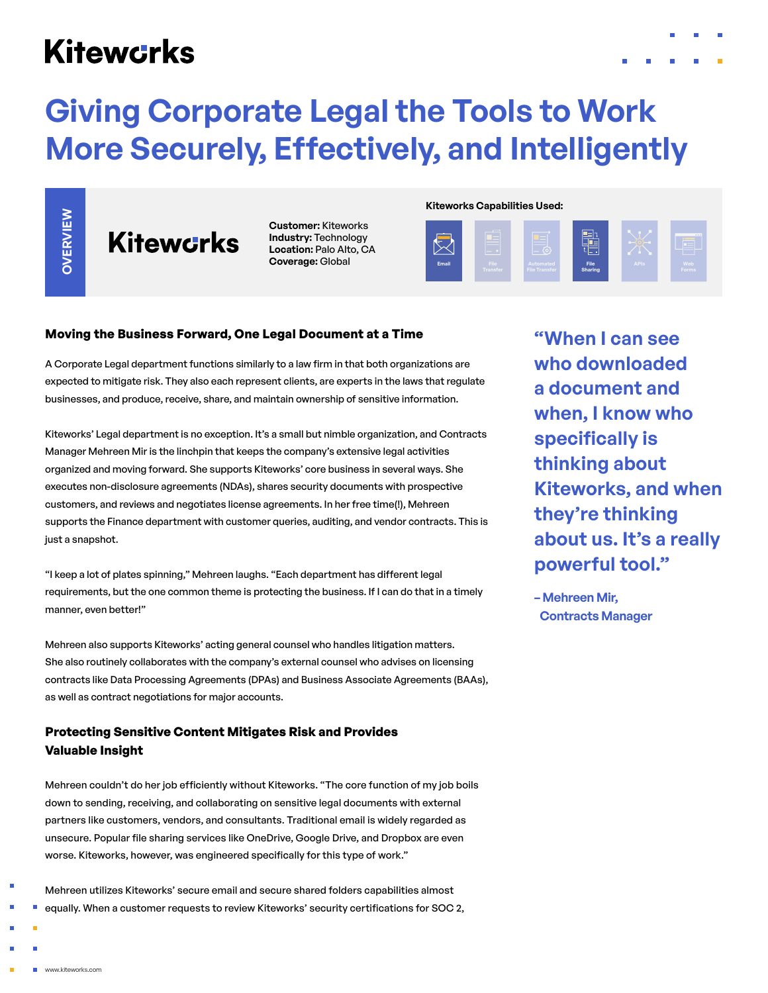## **Kitewcrks**

# **Giving Corporate Legal the Tools to Work More Securely, Effectively, and Intelligently**

**Customer:** Kiteworks **Industry:** Technology **Location:** Palo Alto, CA **Coverage:** Global

#### **Kiteworks Capabilities Used:**



#### **Moving the Business Forward, One Legal Document at a Time**

A Corporate Legal department functions similarly to a law firm in that both organizations are expected to mitigate risk. They also each represent clients, are experts in the laws that regulate businesses, and produce, receive, share, and maintain ownership of sensitive information.

Kiteworks' Legal department is no exception. It's a small but nimble organization, and Contracts Manager Mehreen Mir is the linchpin that keeps the company's extensive legal activities organized and moving forward. She supports Kiteworks' core business in several ways. She executes non-disclosure agreements (NDAs), shares security documents with prospective customers, and reviews and negotiates license agreements. In her free time(!), Mehreen supports the Finance department with customer queries, auditing, and vendor contracts. This is just a snapshot. **Example 19**<br> **Example 19 Constrained a customer refugees to review Richarge Theodores and Constrained Access to record to represent the function of a component of the Constrained Security constrained a customer and Constr** 

"I keep a lot of plates spinning," Mehreen laughs. "Each department has different legal requirements, but the one common theme is protecting the business. If I can do that in a timely manner, even better!"

Mehreen also supports Kiteworks' acting general counsel who handles litigation matters. She also routinely collaborates with the company's external counsel who advises on licensing contracts like Data Processing Agreements (DPAs) and Business Associate Agreements (BAAs), as well as contract negotiations for major accounts.

### **Protecting Sensitive Content Mitigates Risk and Provides Valuable Insight**

Mehreen couldn't do her job efficiently without Kiteworks. "The core function of my job boils down to sending, receiving, and collaborating on sensitive legal documents with external partners like customers, vendors, and consultants. Traditional email is widely regarded as unsecure. Popular file sharing services like OneDrive, Google Drive, and Dropbox are even worse. Kiteworks, however, was engineered specifically for this type of work."

Mehreen utilizes Kiteworks' secure email and secure shared folders capabilities almost

**"When I can see who downloaded a document and when, I know who specifically is thinking about Kiteworks, and when they're thinking about us. It's a really powerful tool."**

**– Mehreen Mir, Contracts Manager**

×